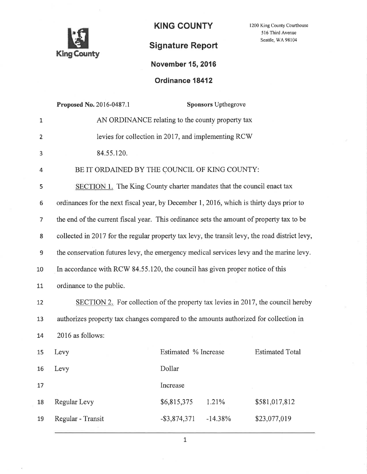

**KING COUNTY** 

1200 King County Courthouse 516 Third Avenue Seattle, WA 98104

## **Signature Report**

## **November 15, 2016**

## Ordinance 18412

|                  | Proposed No. 2016-0487.1                                                                       |                                                | <b>Sponsors Upthegrove</b> |               |  |  |
|------------------|------------------------------------------------------------------------------------------------|------------------------------------------------|----------------------------|---------------|--|--|
| $\mathbf{1}$     | AN ORDINANCE relating to the county property tax                                               |                                                |                            |               |  |  |
| $\overline{2}$   | levies for collection in 2017, and implementing RCW                                            |                                                |                            |               |  |  |
| 3                | 84.55.120.                                                                                     |                                                |                            |               |  |  |
| 4                | BE IT ORDAINED BY THE COUNCIL OF KING COUNTY:                                                  |                                                |                            |               |  |  |
| 5                | SECTION 1. The King County charter mandates that the council enact tax                         |                                                |                            |               |  |  |
| 6                | ordinances for the next fiscal year, by December 1, 2016, which is thirty days prior to        |                                                |                            |               |  |  |
| 7                | the end of the current fiscal year. This ordinance sets the amount of property tax to be       |                                                |                            |               |  |  |
| 8                | collected in 2017 for the regular property tax levy, the transit levy, the road district levy, |                                                |                            |               |  |  |
| $\boldsymbol{9}$ | the conservation futures levy, the emergency medical services levy and the marine levy.        |                                                |                            |               |  |  |
| 10               | In accordance with RCW 84.55.120, the council has given proper notice of this                  |                                                |                            |               |  |  |
| 11               | ordinance to the public.                                                                       |                                                |                            |               |  |  |
| 12               | SECTION 2. For collection of the property tax levies in 2017, the council hereby               |                                                |                            |               |  |  |
| 13               | authorizes property tax changes compared to the amounts authorized for collection in           |                                                |                            |               |  |  |
| 14               | 2016 as follows:                                                                               |                                                |                            |               |  |  |
| 15               | Levy                                                                                           | Estimated % Increase<br><b>Estimated Total</b> |                            |               |  |  |
| 16               | Levy                                                                                           | Dollar                                         |                            |               |  |  |
| 17               |                                                                                                | Increase                                       |                            |               |  |  |
| 18               | Regular Levy                                                                                   | \$6,815,375                                    | 1.21%                      | \$581,017,812 |  |  |
| 19               | Regular - Transit                                                                              | $-$ \$3,874,371                                | $-14.38%$                  | \$23,077,019  |  |  |
|                  |                                                                                                |                                                |                            |               |  |  |

 $\mathbf 1$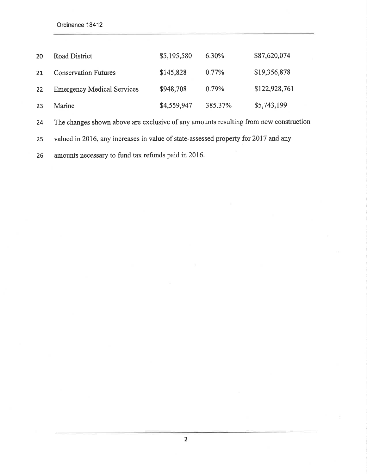Ordinance 18412

| 20 | <b>Road District</b>              | \$5,195,580 | 6.30%    | \$87,620,074  |
|----|-----------------------------------|-------------|----------|---------------|
| 21 | <b>Conservation Futures</b>       | \$145,828   | $0.77\%$ | \$19,356,878  |
| 22 | <b>Emergency Medical Services</b> | \$948,708   | 0.79%    | \$122,928,761 |
| 23 | Marine                            | \$4,559,947 | 385.37%  | \$5,743,199   |

24 The changes shown above are exclusive of any amounts resulting from new construction

25 valued in20l6, any increases in value of state-assessed property for 2017 and any

26 amounts necessary to fund tax refunds paid in 2016.